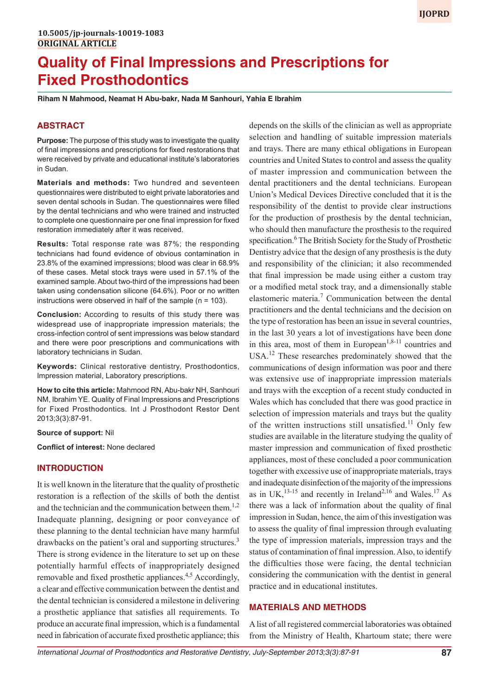# **Quality of Final Impressions and Prescriptions for Fixed Prosthodontics**

**Riham N Mahmood, Neamat H Abu-bakr, Nada M Sanhouri, Yahia E Ibrahim**

# **ABSTRACT**

**Purpose:** The purpose of this study was to investigate the quality of final impressions and prescriptions for fixed restorations that were received by private and educational institute's laboratories in Sudan.

**Materials and methods:** Two hundred and seventeen questionnaires were distributed to eight private laboratories and seven dental schools in Sudan. The questionnaires were filled by the dental technicians and who were trained and instructed to complete one questionnaire per one final impression for fixed restoration immediately after it was received.

**Results:** Total response rate was 87%; the responding technicians had found evidence of obvious contamination in 23.8% of the examined impressions; blood was clear in 68.9% of these cases. Metal stock trays were used in 57.1% of the examined sample. About two-third of the impressions had been taken using condensation silicone (64.6%). Poor or no written instructions were observed in half of the sample ( $n = 103$ ).

**Conclusion:** According to results of this study there was widespread use of inappropriate impression materials; the cross-infection control of sent impressions was below standard and there were poor prescriptions and communications with laboratory technicians in Sudan.

**Keywords:** Clinical restorative dentistry, Prosthodontics, Impression material, Laboratory prescriptions.

**How to cite this article:** Mahmood RN, Abu-bakr NH, Sanhouri NM, Ibrahim YE. Quality of Final Impressions and Prescriptions for Fixed Prosthodontics. Int J Prosthodont Restor Dent 2013;3(3):87-91.

**Source of support:** Nil

**Conflict of interest:** None declared

# **INTRODUCTION**

It is well known in the literature that the quality of prosthetic restoration is a reflection of the skills of both the dentist and the technician and the communication between them.<sup>1,2</sup> Inadequate planning, designing or poor conveyance of these planning to the dental technician have many harmful drawbacks on the patient's oral and supporting structures.<sup>3</sup> There is strong evidence in the literature to set up on these potentially harmful effects of inappropriately designed removable and fixed prosthetic appliances.<sup>4,5</sup> Accordingly, a clear and effective communication between the dentist and the dental technician is considered a milestone in delivering a prosthetic appliance that satisfies all requirements. To produce an accurate final impression, which is a fundamental need in fabrication of accurate fixed prosthetic appliance; this

depends on the skills of the clinician as well as appropriate selection and handling of suitable impression materials and trays. There are many ethical obligations in European countries and United States to control and assess the quality of master impression and communication between the dental practitioners and the dental technicians. European Union's Medical Devices Directive concluded that it is the responsibility of the dentist to provide clear instructions for the production of prosthesis by the dental technician, who should then manufacture the prosthesis to the required specification.<sup>6</sup> The British Society for the Study of Prosthetic Dentistry advice that the design of any prosthesis is the duty and responsibility of the clinician; it also recommended that final impression be made using either a custom tray or a modified metal stock tray, and a dimensionally stable elastomeric materia.<sup>7</sup> Communication between the dental practitioners and the dental technicians and the decision on the type of restoration has been an issue in several countries, in the last 30 years a lot of investigations have been done in this area, most of them in European<sup>1,8-11</sup> countries and USA.<sup>12</sup> These researches predominately showed that the communications of design information was poor and there was extensive use of inappropriate impression materials and trays with the exception of a recent study conducted in Wales which has concluded that there was good practice in selection of impression materials and trays but the quality of the written instructions still unsatisfied.<sup>11</sup> Only few studies are available in the literature studying the quality of master impression and communication of fixed prosthetic appliances, most of these concluded a poor communication together with excessive use of inappropriate materials, trays and inadequate disinfection of the majority of the impressions as in UK,  $^{13-15}$  and recently in Ireland<sup>2,16</sup> and Wales.<sup>17</sup> As there was a lack of information about the quality of final impression in Sudan, hence, the aim of this investigation was to assess the quality of final impression through evaluating the type of impression materials, impression trays and the status of contamination of final impression. Also, to identify the difficulties those were facing, the dental technician considering the communication with the dentist in general practice and in educational institutes.

# **MATERIALS AND METHODS**

A list of all registered commercial laboratories was obtained from the Ministry of Health, Khartoum state; there were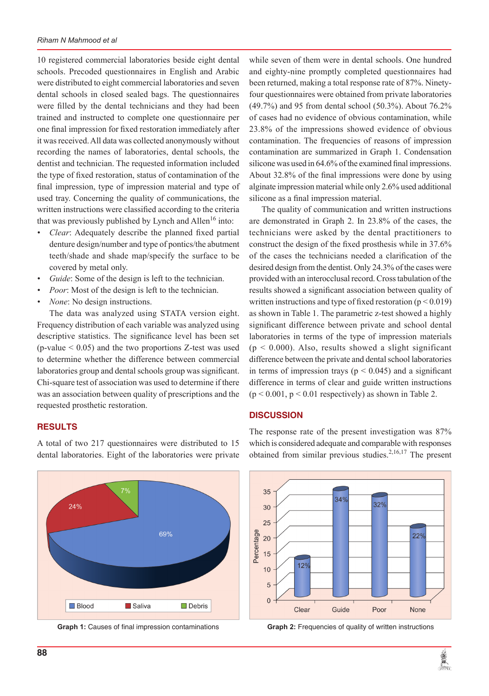10 registered commercial laboratories beside eight dental schools. Precoded questionnaires in English and Arabic were distributed to eight commercial laboratories and seven dental schools in closed sealed bags. The questionnaires were filled by the dental technicians and they had been trained and instructed to complete one questionnaire per one final impression for fixed restoration immediately after it was received. All data was collected anonymously without recording the names of laboratories, dental schools, the dentist and technician. The requested information included the type of fixed restoration, status of contamination of the final impression, type of impression material and type of used tray. Concerning the quality of communications, the written instructions were classified according to the criteria that was previously published by Lynch and Allen<sup>16</sup> into:

- *• Clear*: Adequately describe the planned fixed partial denture design/number and type of pontics/the abutment teeth/shade and shade map/specify the surface to be covered by metal only.
- *Guide*: Some of the design is left to the technician.
- *Poor*: Most of the design is left to the technician.
- *None*: No design instructions.

The data was analyzed using STATA version eight. Frequency distribution of each variable was analyzed using descriptive statistics. The significance level has been set  $(p$ -value  $\leq 0.05$ ) and the two proportions Z-test was used to determine whether the difference between commercial laboratories group and dental schools group was significant. Chi-square test of association was used to determine if there was an association between quality of prescriptions and the requested prosthetic restoration.

# **RESULTS**

A total of two 217 questionnaires were distributed to 15 dental laboratories. Eight of the laboratories were private



while seven of them were in dental schools. One hundred and eighty-nine promptly completed questionnaires had been returned, making a total response rate of 87%. Ninetyfour questionnaires were obtained from private laboratories (49.7%) and 95 from dental school (50.3%). About 76.2% of cases had no evidence of obvious contamination, while 23.8% of the impressions showed evidence of obvious contamination. The frequencies of reasons of impression contamination are summarized in Graph 1. Condensation silicone was used in 64.6% of the examined final impressions. About 32.8% of the final impressions were done by using alginate impression material while only 2.6% used additional silicone as a final impression material.

The quality of communication and written instructions are demonstrated in Graph 2. In 23.8% of the cases, the technicians were asked by the dental practitioners to construct the design of the fixed prosthesis while in 37.6% of the cases the technicians needed a clarification of the desired design from the dentist. Only 24.3% of the cases were provided with an interocclusal record. Cross tabulation of the results showed a significant association between quality of written instructions and type of fixed restoration ( $p < 0.019$ ) as shown in Table 1. The parametric z-test showed a highly significant difference between private and school dental laboratories in terms of the type of impression materials  $(p < 0.000)$ . Also, results showed a slight significant difference between the private and dental school laboratories in terms of impression trays ( $p < 0.045$ ) and a significant difference in terms of clear and guide written instructions  $(p < 0.001, p < 0.01$  respectively) as shown in Table 2.

## **DISCUSSION**

The response rate of the present investigation was 87% which is considered adequate and comparable with responses obtained from similar previous studies.<sup>2,16,17</sup> The present



**Graph 1:** Causes of final impression contaminations **Graph 2:** Frequencies of quality of written instructions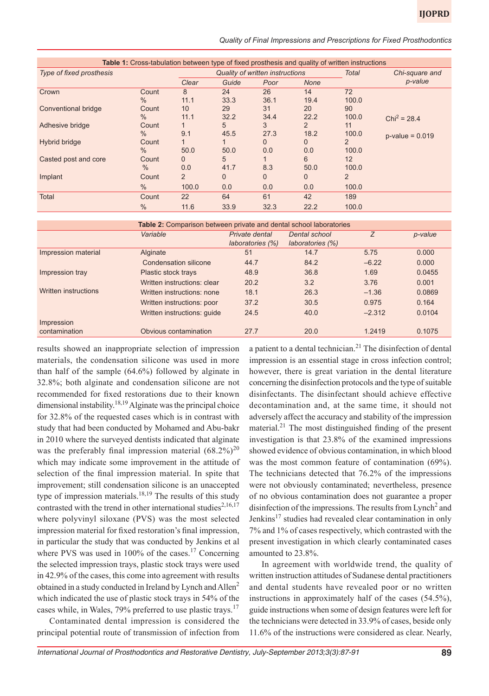| Table 1: Cross-tabulation between type of fixed prosthesis and quality of written instructions |       |                                 |          |          |          |                |                   |  |  |
|------------------------------------------------------------------------------------------------|-------|---------------------------------|----------|----------|----------|----------------|-------------------|--|--|
| Type of fixed prosthesis                                                                       |       | Quality of written instructions |          |          |          | Total          | Chi-square and    |  |  |
|                                                                                                |       | Clear                           | Guide    | Poor     | None     |                | p-value           |  |  |
| Crown                                                                                          | Count | 8                               | 24       | 26       | 14       | 72             |                   |  |  |
|                                                                                                | $\%$  | 11.1                            | 33.3     | 36.1     | 19.4     | 100.0          |                   |  |  |
| <b>Conventional bridge</b>                                                                     | Count | 10                              | 29       | 31       | 20       | 90             |                   |  |  |
|                                                                                                | $\%$  | 11.1                            | 32.2     | 34.4     | 22.2     | 100.0          | $Chi^2 = 28.4$    |  |  |
| Adhesive bridge                                                                                | Count |                                 | 5        | 3        | 2        | 11             |                   |  |  |
|                                                                                                | $\%$  | 9.1                             | 45.5     | 27.3     | 18.2     | 100.0          | $p-value = 0.019$ |  |  |
| Hybrid bridge                                                                                  | Count |                                 |          | 0        | 0        | 2              |                   |  |  |
|                                                                                                | $\%$  | 50.0                            | 50.0     | 0.0      | 0.0      | 100.0          |                   |  |  |
| Casted post and core                                                                           | Count | 0                               | 5        |          | 6        | 12             |                   |  |  |
|                                                                                                | $\%$  | 0.0                             | 41.7     | 8.3      | 50.0     | 100.0          |                   |  |  |
| Implant                                                                                        | Count | $\overline{2}$                  | $\Omega$ | $\Omega$ | $\Omega$ | $\overline{2}$ |                   |  |  |
|                                                                                                | $\%$  | 100.0                           | 0.0      | 0.0      | 0.0      | 100.0          |                   |  |  |
| <b>Total</b>                                                                                   | Count | 22                              | 64       | 61       | 42       | 189            |                   |  |  |
|                                                                                                | $\%$  | 11.6                            | 33.9     | 32.3     | 22.2     | 100.0          |                   |  |  |

| Table 2: Comparison between private and dental school laboratories |                             |                                    |                                   |          |         |  |  |  |  |  |
|--------------------------------------------------------------------|-----------------------------|------------------------------------|-----------------------------------|----------|---------|--|--|--|--|--|
|                                                                    | Variable                    | Private dental<br>laboratories (%) | Dental school<br>laboratories (%) | Z        | p-value |  |  |  |  |  |
| Impression material                                                | Alginate                    | 51                                 | 14.7                              | 5.75     | 0.000   |  |  |  |  |  |
|                                                                    | Condensation silicone       | 44.7                               | 84.2                              | $-6.22$  | 0.000   |  |  |  |  |  |
| Impression tray                                                    | Plastic stock trays         | 48.9                               | 36.8                              | 1.69     | 0.0455  |  |  |  |  |  |
|                                                                    | Written instructions: clear | 20.2                               | 3.2                               | 3.76     | 0.001   |  |  |  |  |  |
| Written instructions                                               | Written instructions: none  | 18.1                               | 26.3                              | $-1.36$  | 0.0869  |  |  |  |  |  |
|                                                                    | Written instructions: poor  | 37.2                               | 30.5                              | 0.975    | 0.164   |  |  |  |  |  |
|                                                                    | Written instructions: quide | 24.5                               | 40.0                              | $-2.312$ | 0.0104  |  |  |  |  |  |
| Impression                                                         |                             |                                    |                                   |          |         |  |  |  |  |  |
| contamination                                                      | Obvious contamination       | 27.7                               | 20.0                              | 1.2419   | 0.1075  |  |  |  |  |  |

results showed an inappropriate selection of impression materials, the condensation silicone was used in more than half of the sample (64.6%) followed by alginate in 32.8%; both alginate and condensation silicone are not recommended for fixed restorations due to their known dimensional instability.<sup>18,19</sup> Alginate was the principal choice for 32.8% of the requested cases which is in contrast with study that had been conducted by Mohamed and Abu-bakr in 2010 where the surveyed dentists indicated that alginate was the preferably final impression material  $(68.2\%)^{20}$ which may indicate some improvement in the attitude of selection of the final impression material. In spite that improvement; still condensation silicone is an unaccepted type of impression materials.<sup>18,19</sup> The results of this study contrasted with the trend in other international studies<sup>2,16,17</sup> where polyvinyl siloxane (PVS) was the most selected impression material for fixed restoration's final impression, in particular the study that was conducted by Jenkins et al where PVS was used in 100% of the cases.<sup>17</sup> Concerning the selected impression trays, plastic stock trays were used in 42.9% of the cases, this come into agreement with results obtained in a study conducted in Ireland by Lynch and Allen<sup>2</sup> which indicated the use of plastic stock trays in 54% of the cases while, in Wales, 79% preferred to use plastic trays.<sup>17</sup>

Contaminated dental impression is considered the principal potential route of transmission of infection from a patient to a dental technician.<sup>21</sup> The disinfection of dental impression is an essential stage in cross infection control; however, there is great variation in the dental literature concerning the disinfection protocols and the type of suitable disinfectants. The disinfectant should achieve effective decontamination and, at the same time, it should not adversely affect the accuracy and stability of the impression material.<sup>21</sup> The most distinguished finding of the present investigation is that 23.8% of the examined impressions showed evidence of obvious contamination, in which blood was the most common feature of contamination (69%). The technicians detected that 76.2% of the impressions were not obviously contaminated; nevertheless, presence of no obvious contamination does not guarantee a proper disinfection of the impressions. The results from Lynch<sup>2</sup> and Jenkins<sup>17</sup> studies had revealed clear contamination in only 7% and 1% of cases respectively, which contrasted with the present investigation in which clearly contaminated cases amounted to 23.8%.

In agreement with worldwide trend, the quality of written instruction attitudes of Sudanese dental practitioners and dental students have revealed poor or no written instructions in approximately half of the cases (54.5%), guide instructions when some of design features were left for the technicians were detected in 33.9% of cases, beside only 11.6% of the instructions were considered as clear. Nearly,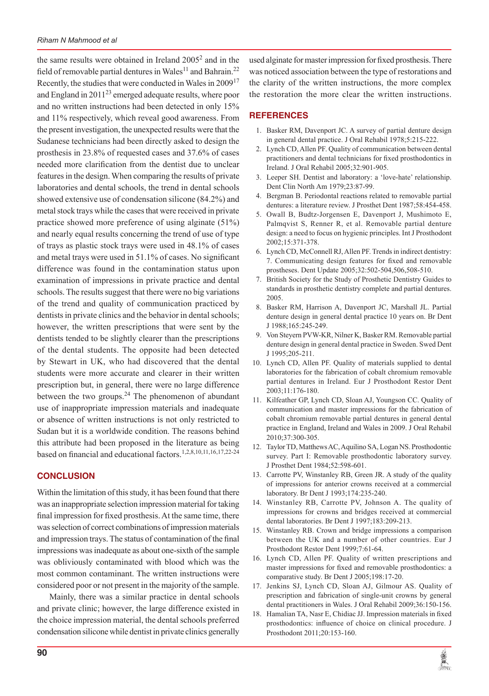the same results were obtained in Ireland  $2005<sup>2</sup>$  and in the field of removable partial dentures in Wales<sup>11</sup> and Bahrain.<sup>22</sup> Recently, the studies that were conducted in Wales in  $2009^{17}$ and England in  $2011^{23}$  emerged adequate results, where poor and no written instructions had been detected in only 15% and 11% respectively, which reveal good awareness. From the present investigation, the unexpected results were that the Sudanese technicians had been directly asked to design the prosthesis in 23.8% of requested cases and 37.6% of cases needed more clarification from the dentist due to unclear features in the design. When comparing the results of private laboratories and dental schools, the trend in dental schools showed extensive use of condensation silicone (84.2%) and metal stock trays while the cases that were received in private practice showed more preference of using alginate (51%) and nearly equal results concerning the trend of use of type of trays as plastic stock trays were used in 48.1% of cases and metal trays were used in 51.1% of cases. No significant difference was found in the contamination status upon examination of impressions in private practice and dental schools. The results suggest that there were no big variations of the trend and quality of communication practiced by dentists in private clinics and the behavior in dental schools; however, the written prescriptions that were sent by the dentists tended to be slightly clearer than the prescriptions of the dental students. The opposite had been detected by Stewart in UK, who had discovered that the dental students were more accurate and clearer in their written prescription but, in general, there were no large difference between the two groups. $^{24}$  The phenomenon of abundant use of inappropriate impression materials and inadequate or absence of written instructions is not only restricted to Sudan but it is a worldwide condition. The reasons behind this attribute had been proposed in the literature as being based on financial and educational factors.1,2,8,10,11,16,17,22-24

# **CONCLUSION**

Within the limitation of this study, it has been found that there was an inappropriate selection impression material for taking final impression for fixed prosthesis. At the same time, there was selection of correct combinations of impression materials and impression trays. The status of contamination of the final impressions was inadequate as about one-sixth of the sample was obliviously contaminated with blood which was the most common contaminant. The written instructions were considered poor or not present in the majority of the sample.

Mainly, there was a similar practice in dental schools and private clinic; however, the large difference existed in the choice impression material, the dental schools preferred condensation silicone while dentist in private clinics generally used alginate for master impression for fixed prosthesis. There was noticed association between the type of restorations and the clarity of the written instructions, the more complex the restoration the more clear the written instructions.

# **REFERENCES**

- 1. Basker RM, Davenport JC. A survey of partial denture design in general dental practice. J Oral Rehabil 1978;5:215-222.
- 2. Lynch CD, Allen PF. Quality of communication between dental practitioners and dental technicians for fixed prosthodontics in Ireland. J Oral Rehabil 2005;32:901-905.
- 3. Leeper SH. Dentist and laboratory: a 'love-hate' relationship. Dent Clin North Am 1979;23:87-99.
- 4. Bergman B. Periodontal reactions related to removable partial dentures: a literature review. J Prosthet Dent 1987;58:454-458.
- 5. Owall B, Budtz-Jorgensen E, Davenport J, Mushimoto E, Palmqvist S, Renner R, et al. Removable partial denture design: a need to focus on hygienic principles. Int J Prosthodont 2002;15:371-378.
- 6. Lynch CD, McConnell RJ, Allen PF. Trends in indirect dentistry: 7. Communicating design features for fixed and removable prostheses. Dent Update 2005;32:502-504,506,508-510.
- 7. British Society for the Study of Prosthetic Dentistry Guides to standards in prosthetic dentistry complete and partial dentures. 2005.
- 8. Basker RM, Harrison A, Davenport JC, Marshall JL. Partial denture design in general dental practice 10 years on. Br Dent J 1988;165:245-249.
- 9. Von Steyern PVW-KR, Nilner K, Basker RM. Removable partial denture design in general dental practice in Sweden. Swed Dent J 1995;205-211.
- 10. Lynch CD, Allen PF. Quality of materials supplied to dental laboratories for the fabrication of cobalt chromium removable partial dentures in Ireland. Eur J Prosthodont Restor Dent 2003;11:176-180.
- 11. Kilfeather GP, Lynch CD, Sloan AJ, Youngson CC. Quality of communication and master impressions for the fabrication of cobalt chromium removable partial dentures in general dental practice in England, Ireland and Wales in 2009. J Oral Rehabil 2010;37:300-305.
- 12. Taylor TD, Matthews AC, Aquilino SA, Logan NS. Prosthodontic survey. Part I: Removable prosthodontic laboratory survey. J Prosthet Dent 1984;52:598-601.
- 13. Carrotte PV, Winstanley RB, Green JR. A study of the quality of impressions for anterior crowns received at a commercial laboratory. Br Dent J 1993;174:235-240.
- 14. Winstanley RB, Carrotte PV, Johnson A. The quality of impressions for crowns and bridges received at commercial dental laboratories. Br Dent J 1997;183:209-213.
- 15. Winstanley RB. Crown and bridge impressions a comparison between the UK and a number of other countries. Eur J Prosthodont Restor Dent 1999;7:61-64.
- 16. Lynch CD, Allen PF. Quality of written prescriptions and master impressions for fixed and removable prosthodontics: a comparative study. Br Dent J 2005;198:17-20.
- 17. Jenkins SJ, Lynch CD, Sloan AJ, Gilmour AS. Quality of prescription and fabrication of single-unit crowns by general dental practitioners in Wales. J Oral Rehabil 2009;36:150-156.
- 18. Hamalian TA, Nasr E, Chidiac JJ. Impression materials in fixed prosthodontics: influence of choice on clinical procedure. J Prosthodont 2011;20:153-160.